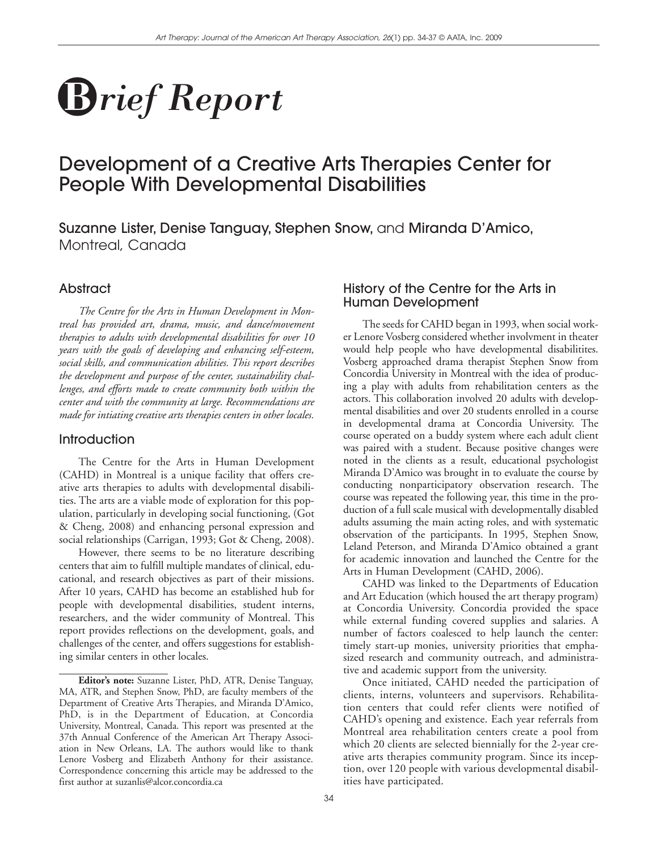# **B** *rief Report*

## Development of a Creative Arts Therapies Center for People With Developmental Disabilities

Suzanne Lister, Denise Tanguay, Stephen Snow, and Miranda D'Amico, Montreal, Canada

#### **Abstract**

*The Centre for the Arts in Human Development in Montreal has provided art, drama, music, and dance/movement therapies to adults with developmental disabilities for over 10 years with the goals of developing and enhancing self-esteem, social skills, and communication abilities. This report describes the development and purpose of the center, sustainability challenges, and efforts made to create community both within the center and with the community at large. Recommendations are made for intiating creative arts therapies centers in other locales.*

#### **Introduction**

The Centre for the Arts in Human Development (CAHD) in Montreal is a unique facility that offers creative arts therapies to adults with developmental disabilities. The arts are a viable mode of exploration for this population, particularly in developing social functioning, (Got & Cheng, 2008) and enhancing personal expression and social relationships (Carrigan, 1993; Got & Cheng, 2008).

However, there seems to be no literature describing centers that aim to fulfill multiple mandates of clinical, educational, and research objectives as part of their missions. After 10 years, CAHD has become an established hub for people with developmental disabilities, student interns, researchers, and the wider community of Montreal. This report provides reflections on the development, goals, and challenges of the center, and offers suggestions for establishing similar centers in other locales.

34

### History of the Centre for the Arts in Human Development

The seeds for CAHD began in 1993, when social worker Lenore Vosberg considered whether involvment in theater would help people who have developmental disabilitites. Vosberg approached drama therapist Stephen Snow from Concordia University in Montreal with the idea of producing a play with adults from rehabilitation centers as the actors. This collaboration involved 20 adults with developmental disabilities and over 20 students enrolled in a course in developmental drama at Concordia University. The course operated on a buddy system where each adult client was paired with a student. Because positive changes were noted in the clients as a result, educational psychologist Miranda D'Amico was brought in to evaluate the course by conducting nonparticipatory observation research. The course was repeated the following year, this time in the production of a full scale musical with developmentally disabled adults assuming the main acting roles, and with systematic observation of the participants. In 1995, Stephen Snow, Leland Peterson, and Miranda D'Amico obtained a grant for academic innovation and launched the Centre for the Arts in Human Development (CAHD, 2006).

CAHD was linked to the Departments of Education and Art Education (which housed the art therapy program) at Concordia University. Concordia provided the space while external funding covered supplies and salaries. A number of factors coalesced to help launch the center: timely start-up monies, university priorities that emphasized research and community outreach, and administrative and academic support from the university.

Once initiated, CAHD needed the participation of clients, interns, volunteers and supervisors. Rehabilitation centers that could refer clients were notified of CAHD's opening and existence. Each year referrals from Montreal area rehabilitation centers create a pool from which 20 clients are selected biennially for the 2-year creative arts therapies community program. Since its inception, over 120 people with various developmental disabilities have participated.

**Editor's note:** Suzanne Lister, PhD, ATR, Denise Tanguay, MA, ATR, and Stephen Snow, PhD, are faculty members of the Department of Creative Arts Therapies, and Miranda D'Amico, PhD, is in the Department of Education, at Concordia University, Montreal, Canada. This report was presented at the 37th Annual Conference of the American Art Therapy Association in New Orleans, LA. The authors would like to thank Lenore Vosberg and Elizabeth Anthony for their assistance. Correspondence concerning this article may be addressed to the first author at suzanlis@alcor.concordia.ca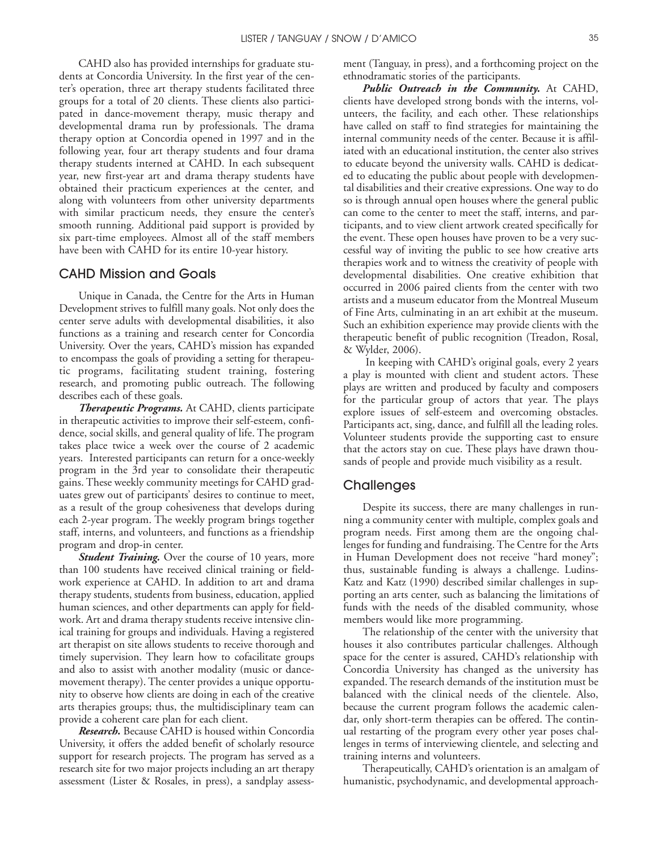CAHD also has provided internships for graduate students at Concordia University. In the first year of the center's operation, three art therapy students facilitated three groups for a total of 20 clients. These clients also participated in dance-movement therapy, music therapy and developmental drama run by professionals. The drama therapy option at Concordia opened in 1997 and in the following year, four art therapy students and four drama therapy students interned at CAHD. In each subsequent year, new first-year art and drama therapy students have obtained their practicum experiences at the center, and along with volunteers from other university departments with similar practicum needs, they ensure the center's smooth running. Additional paid support is provided by six part-time employees. Almost all of the staff members have been with CAHD for its entire 10-year history.

#### CAHD Mission and Goals

Unique in Canada, the Centre for the Arts in Human Development strives to fulfill many goals. Not only does the center serve adults with developmental disabilities, it also functions as a training and research center for Concordia University. Over the years, CAHD's mission has expanded to encompass the goals of providing a setting for therapeutic programs, facilitating student training, fostering research, and promoting public outreach. The following describes each of these goals.

*Therapeutic Programs.* At CAHD, clients participate in therapeutic activities to improve their self-esteem, confidence, social skills, and general quality of life. The program takes place twice a week over the course of 2 academic years. Interested participants can return for a once-weekly program in the 3rd year to consolidate their therapeutic gains. These weekly community meetings for CAHD graduates grew out of participants' desires to continue to meet, as a result of the group cohesiveness that develops during each 2-year program. The weekly program brings together staff, interns, and volunteers, and functions as a friendship program and drop-in center.

*Student Training.* Over the course of 10 years, more than 100 students have received clinical training or fieldwork experience at CAHD. In addition to art and drama therapy students, students from business, education, applied human sciences, and other departments can apply for fieldwork. Art and drama therapy students receive intensive clinical training for groups and individuals. Having a registered art therapist on site allows students to receive thorough and timely supervision. They learn how to cofacilitate groups and also to assist with another modality (music or dancemovement therapy). The center provides a unique opportunity to observe how clients are doing in each of the creative arts therapies groups; thus, the multidisciplinary team can provide a coherent care plan for each client.

*Research.* Because CAHD is housed within Concordia University, it offers the added benefit of scholarly resource support for research projects. The program has served as a research site for two major projects including an art therapy assessment (Lister & Rosales, in press), a sandplay assessment (Tanguay, in press), and a forthcoming project on the ethnodramatic stories of the participants.

*Public Outreach in the Community.* At CAHD, clients have developed strong bonds with the interns, volunteers, the facility, and each other. These relationships have called on staff to find strategies for maintaining the internal community needs of the center. Because it is affiliated with an educational institution, the center also strives to educate beyond the university walls. CAHD is dedicated to educating the public about people with developmental disabilities and their creative expressions. One way to do so is through annual open houses where the general public can come to the center to meet the staff, interns, and participants, and to view client artwork created specifically for the event. These open houses have proven to be a very successful way of inviting the public to see how creative arts therapies work and to witness the creativity of people with developmental disabilities. One creative exhibition that occurred in 2006 paired clients from the center with two artists and a museum educator from the Montreal Museum of Fine Arts, culminating in an art exhibit at the museum. Such an exhibition experience may provide clients with the therapeutic benefit of public recognition (Treadon, Rosal, & Wylder, 2006).

In keeping with CAHD's original goals, every 2 years a play is mounted with client and student actors. These plays are written and produced by faculty and composers for the particular group of actors that year. The plays explore issues of self-esteem and overcoming obstacles. Participants act, sing, dance, and fulfill all the leading roles. Volunteer students provide the supporting cast to ensure that the actors stay on cue. These plays have drawn thousands of people and provide much visibility as a result.

#### **Challenges**

Despite its success, there are many challenges in running a community center with multiple, complex goals and program needs. First among them are the ongoing challenges for funding and fundraising. The Centre for the Arts in Human Development does not receive "hard money"; thus, sustainable funding is always a challenge. Ludins-Katz and Katz (1990) described similar challenges in supporting an arts center, such as balancing the limitations of funds with the needs of the disabled community, whose members would like more programming.

The relationship of the center with the university that houses it also contributes particular challenges. Although space for the center is assured, CAHD's relationship with Concordia University has changed as the university has expanded. The research demands of the institution must be balanced with the clinical needs of the clientele. Also, because the current program follows the academic calendar, only short-term therapies can be offered. The continual restarting of the program every other year poses challenges in terms of interviewing clientele, and selecting and training interns and volunteers.

Therapeutically, CAHD's orientation is an amalgam of humanistic, psychodynamic, and developmental approach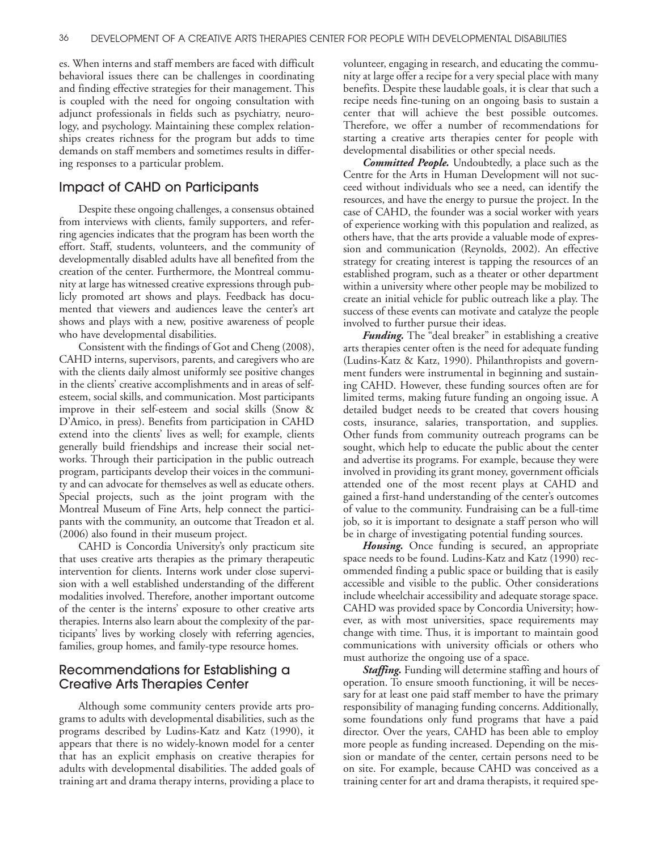es. When interns and staff members are faced with difficult behavioral issues there can be challenges in coordinating and finding effective strategies for their management. This is coupled with the need for ongoing consultation with adjunct professionals in fields such as psychiatry, neurology, and psychology. Maintaining these complex relationships creates richness for the program but adds to time demands on staff members and sometimes results in differing responses to a particular problem.

#### Impact of CAHD on Participants

Despite these ongoing challenges, a consensus obtained from interviews with clients, family supporters, and referring agencies indicates that the program has been worth the effort. Staff, students, volunteers, and the community of developmentally disabled adults have all benefited from the creation of the center. Furthermore, the Montreal community at large has witnessed creative expressions through publicly promoted art shows and plays. Feedback has documented that viewers and audiences leave the center's art shows and plays with a new, positive awareness of people who have developmental disabilities.

Consistent with the findings of Got and Cheng (2008), CAHD interns, supervisors, parents, and caregivers who are with the clients daily almost uniformly see positive changes in the clients' creative accomplishments and in areas of selfesteem, social skills, and communication. Most participants improve in their self-esteem and social skills (Snow & D'Amico, in press). Benefits from participation in CAHD extend into the clients' lives as well; for example, clients generally build friendships and increase their social networks. Through their participation in the public outreach program, participants develop their voices in the community and can advocate for themselves as well as educate others. Special projects, such as the joint program with the Montreal Museum of Fine Arts, help connect the participants with the community, an outcome that Treadon et al. (2006) also found in their museum project.

CAHD is Concordia University's only practicum site that uses creative arts therapies as the primary therapeutic intervention for clients. Interns work under close supervision with a well established understanding of the different modalities involved. Therefore, another important outcome of the center is the interns' exposure to other creative arts therapies. Interns also learn about the complexity of the participants' lives by working closely with referring agencies, families, group homes, and family-type resource homes.

#### Recommendations for Establishing a Creative Arts Therapies Center

Although some community centers provide arts programs to adults with developmental disabilities, such as the programs described by Ludins-Katz and Katz (1990), it appears that there is no widely-known model for a center that has an explicit emphasis on creative therapies for adults with developmental disabilities. The added goals of training art and drama therapy interns, providing a place to

volunteer, engaging in research, and educating the community at large offer a recipe for a very special place with many benefits. Despite these laudable goals, it is clear that such a recipe needs fine-tuning on an ongoing basis to sustain a center that will achieve the best possible outcomes. Therefore, we offer a number of recommendations for starting a creative arts therapies center for people with developmental disabilities or other special needs.

*Committed People.* Undoubtedly, a place such as the Centre for the Arts in Human Development will not succeed without individuals who see a need, can identify the resources, and have the energy to pursue the project. In the case of CAHD, the founder was a social worker with years of experience working with this population and realized, as others have, that the arts provide a valuable mode of expression and communication (Reynolds, 2002). An effective strategy for creating interest is tapping the resources of an established program, such as a theater or other department within a university where other people may be mobilized to create an initial vehicle for public outreach like a play. The success of these events can motivate and catalyze the people involved to further pursue their ideas.

*Funding.* The "deal breaker" in establishing a creative arts therapies center often is the need for adequate funding (Ludins-Katz & Katz, 1990). Philanthropists and government funders were instrumental in beginning and sustaining CAHD. However, these funding sources often are for limited terms, making future funding an ongoing issue. A detailed budget needs to be created that covers housing costs, insurance, salaries, transportation, and supplies. Other funds from community outreach programs can be sought, which help to educate the public about the center and advertise its programs. For example, because they were involved in providing its grant money, government officials attended one of the most recent plays at CAHD and gained a first-hand understanding of the center's outcomes of value to the community. Fundraising can be a full-time job, so it is important to designate a staff person who will be in charge of investigating potential funding sources.

*Housing.* Once funding is secured, an appropriate space needs to be found. Ludins-Katz and Katz (1990) recommended finding a public space or building that is easily accessible and visible to the public. Other considerations include wheelchair accessibility and adequate storage space. CAHD was provided space by Concordia University; however, as with most universities, space requirements may change with time. Thus, it is important to maintain good communications with university officials or others who must authorize the ongoing use of a space.

*Staffing.* Funding will determine staffing and hours of operation. To ensure smooth functioning, it will be necessary for at least one paid staff member to have the primary responsibility of managing funding concerns. Additionally, some foundations only fund programs that have a paid director. Over the years, CAHD has been able to employ more people as funding increased. Depending on the mission or mandate of the center, certain persons need to be on site. For example, because CAHD was conceived as a training center for art and drama therapists, it required spe